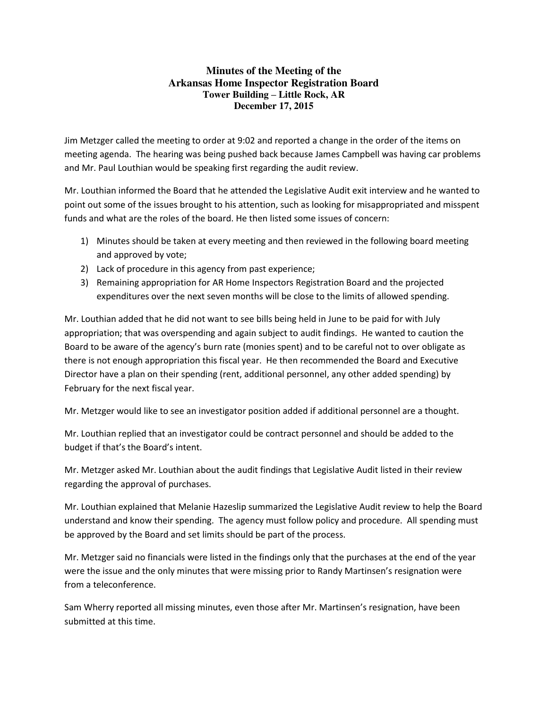## **Minutes of the Meeting of the Arkansas Home Inspector Registration Board Tower Building – Little Rock, AR December 17, 2015**

Jim Metzger called the meeting to order at 9:02 and reported a change in the order of the items on meeting agenda. The hearing was being pushed back because James Campbell was having car problems and Mr. Paul Louthian would be speaking first regarding the audit review.

Mr. Louthian informed the Board that he attended the Legislative Audit exit interview and he wanted to point out some of the issues brought to his attention, such as looking for misappropriated and misspent funds and what are the roles of the board. He then listed some issues of concern:

- 1) Minutes should be taken at every meeting and then reviewed in the following board meeting and approved by vote;
- 2) Lack of procedure in this agency from past experience;
- 3) Remaining appropriation for AR Home Inspectors Registration Board and the projected expenditures over the next seven months will be close to the limits of allowed spending.

Mr. Louthian added that he did not want to see bills being held in June to be paid for with July appropriation; that was overspending and again subject to audit findings. He wanted to caution the Board to be aware of the agency's burn rate (monies spent) and to be careful not to over obligate as there is not enough appropriation this fiscal year. He then recommended the Board and Executive Director have a plan on their spending (rent, additional personnel, any other added spending) by February for the next fiscal year.

Mr. Metzger would like to see an investigator position added if additional personnel are a thought.

Mr. Louthian replied that an investigator could be contract personnel and should be added to the budget if that's the Board's intent.

Mr. Metzger asked Mr. Louthian about the audit findings that Legislative Audit listed in their review regarding the approval of purchases.

Mr. Louthian explained that Melanie Hazeslip summarized the Legislative Audit review to help the Board understand and know their spending. The agency must follow policy and procedure. All spending must be approved by the Board and set limits should be part of the process.

Mr. Metzger said no financials were listed in the findings only that the purchases at the end of the year were the issue and the only minutes that were missing prior to Randy Martinsen's resignation were from a teleconference.

Sam Wherry reported all missing minutes, even those after Mr. Martinsen's resignation, have been submitted at this time.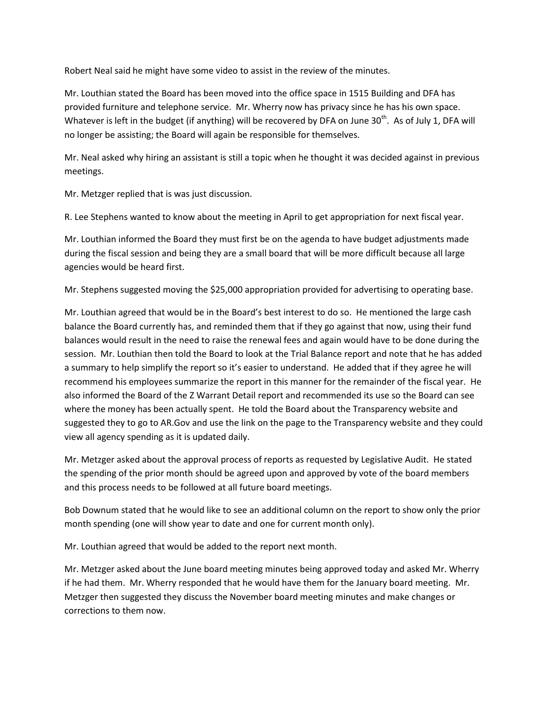Robert Neal said he might have some video to assist in the review of the minutes.

Mr. Louthian stated the Board has been moved into the office space in 1515 Building and DFA has provided furniture and telephone service. Mr. Wherry now has privacy since he has his own space. Whatever is left in the budget (if anything) will be recovered by DFA on June 30<sup>th</sup>. As of July 1, DFA will no longer be assisting; the Board will again be responsible for themselves.

Mr. Neal asked why hiring an assistant is still a topic when he thought it was decided against in previous meetings.

Mr. Metzger replied that is was just discussion.

R. Lee Stephens wanted to know about the meeting in April to get appropriation for next fiscal year.

Mr. Louthian informed the Board they must first be on the agenda to have budget adjustments made during the fiscal session and being they are a small board that will be more difficult because all large agencies would be heard first.

Mr. Stephens suggested moving the \$25,000 appropriation provided for advertising to operating base.

Mr. Louthian agreed that would be in the Board's best interest to do so. He mentioned the large cash balance the Board currently has, and reminded them that if they go against that now, using their fund balances would result in the need to raise the renewal fees and again would have to be done during the session. Mr. Louthian then told the Board to look at the Trial Balance report and note that he has added a summary to help simplify the report so it's easier to understand. He added that if they agree he will recommend his employees summarize the report in this manner for the remainder of the fiscal year. He also informed the Board of the Z Warrant Detail report and recommended its use so the Board can see where the money has been actually spent. He told the Board about the Transparency website and suggested they to go to AR.Gov and use the link on the page to the Transparency website and they could view all agency spending as it is updated daily.

Mr. Metzger asked about the approval process of reports as requested by Legislative Audit. He stated the spending of the prior month should be agreed upon and approved by vote of the board members and this process needs to be followed at all future board meetings.

Bob Downum stated that he would like to see an additional column on the report to show only the prior month spending (one will show year to date and one for current month only).

Mr. Louthian agreed that would be added to the report next month.

Mr. Metzger asked about the June board meeting minutes being approved today and asked Mr. Wherry if he had them. Mr. Wherry responded that he would have them for the January board meeting. Mr. Metzger then suggested they discuss the November board meeting minutes and make changes or corrections to them now.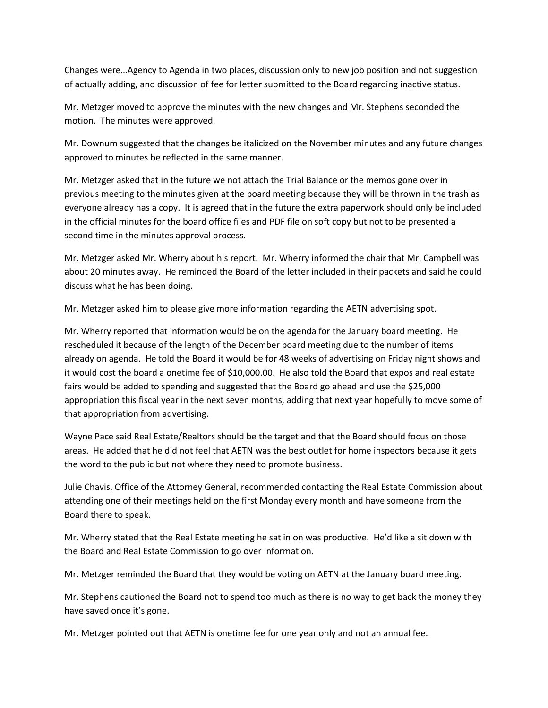Changes were…Agency to Agenda in two places, discussion only to new job position and not suggestion of actually adding, and discussion of fee for letter submitted to the Board regarding inactive status.

Mr. Metzger moved to approve the minutes with the new changes and Mr. Stephens seconded the motion. The minutes were approved.

Mr. Downum suggested that the changes be italicized on the November minutes and any future changes approved to minutes be reflected in the same manner.

Mr. Metzger asked that in the future we not attach the Trial Balance or the memos gone over in previous meeting to the minutes given at the board meeting because they will be thrown in the trash as everyone already has a copy. It is agreed that in the future the extra paperwork should only be included in the official minutes for the board office files and PDF file on soft copy but not to be presented a second time in the minutes approval process.

Mr. Metzger asked Mr. Wherry about his report. Mr. Wherry informed the chair that Mr. Campbell was about 20 minutes away. He reminded the Board of the letter included in their packets and said he could discuss what he has been doing.

Mr. Metzger asked him to please give more information regarding the AETN advertising spot.

Mr. Wherry reported that information would be on the agenda for the January board meeting. He rescheduled it because of the length of the December board meeting due to the number of items already on agenda. He told the Board it would be for 48 weeks of advertising on Friday night shows and it would cost the board a onetime fee of \$10,000.00. He also told the Board that expos and real estate fairs would be added to spending and suggested that the Board go ahead and use the \$25,000 appropriation this fiscal year in the next seven months, adding that next year hopefully to move some of that appropriation from advertising.

Wayne Pace said Real Estate/Realtors should be the target and that the Board should focus on those areas. He added that he did not feel that AETN was the best outlet for home inspectors because it gets the word to the public but not where they need to promote business.

Julie Chavis, Office of the Attorney General, recommended contacting the Real Estate Commission about attending one of their meetings held on the first Monday every month and have someone from the Board there to speak.

Mr. Wherry stated that the Real Estate meeting he sat in on was productive. He'd like a sit down with the Board and Real Estate Commission to go over information.

Mr. Metzger reminded the Board that they would be voting on AETN at the January board meeting.

Mr. Stephens cautioned the Board not to spend too much as there is no way to get back the money they have saved once it's gone.

Mr. Metzger pointed out that AETN is onetime fee for one year only and not an annual fee.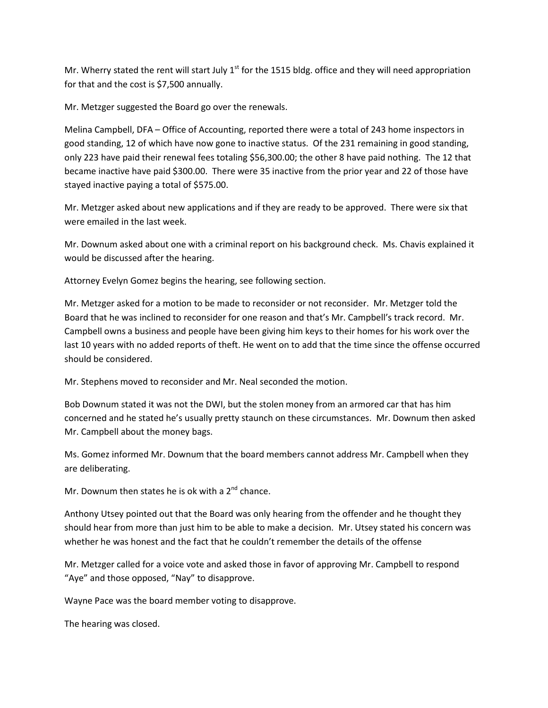Mr. Wherry stated the rent will start July  $1<sup>st</sup>$  for the 1515 bldg. office and they will need appropriation for that and the cost is \$7,500 annually.

Mr. Metzger suggested the Board go over the renewals.

Melina Campbell, DFA – Office of Accounting, reported there were a total of 243 home inspectors in good standing, 12 of which have now gone to inactive status. Of the 231 remaining in good standing, only 223 have paid their renewal fees totaling \$56,300.00; the other 8 have paid nothing. The 12 that became inactive have paid \$300.00. There were 35 inactive from the prior year and 22 of those have stayed inactive paying a total of \$575.00.

Mr. Metzger asked about new applications and if they are ready to be approved. There were six that were emailed in the last week.

Mr. Downum asked about one with a criminal report on his background check. Ms. Chavis explained it would be discussed after the hearing.

Attorney Evelyn Gomez begins the hearing, see following section.

Mr. Metzger asked for a motion to be made to reconsider or not reconsider. Mr. Metzger told the Board that he was inclined to reconsider for one reason and that's Mr. Campbell's track record. Mr. Campbell owns a business and people have been giving him keys to their homes for his work over the last 10 years with no added reports of theft. He went on to add that the time since the offense occurred should be considered.

Mr. Stephens moved to reconsider and Mr. Neal seconded the motion.

Bob Downum stated it was not the DWI, but the stolen money from an armored car that has him concerned and he stated he's usually pretty staunch on these circumstances. Mr. Downum then asked Mr. Campbell about the money bags.

Ms. Gomez informed Mr. Downum that the board members cannot address Mr. Campbell when they are deliberating.

Mr. Downum then states he is ok with a  $2<sup>nd</sup>$  chance.

Anthony Utsey pointed out that the Board was only hearing from the offender and he thought they should hear from more than just him to be able to make a decision. Mr. Utsey stated his concern was whether he was honest and the fact that he couldn't remember the details of the offense

Mr. Metzger called for a voice vote and asked those in favor of approving Mr. Campbell to respond "Aye" and those opposed, "Nay" to disapprove.

Wayne Pace was the board member voting to disapprove.

The hearing was closed.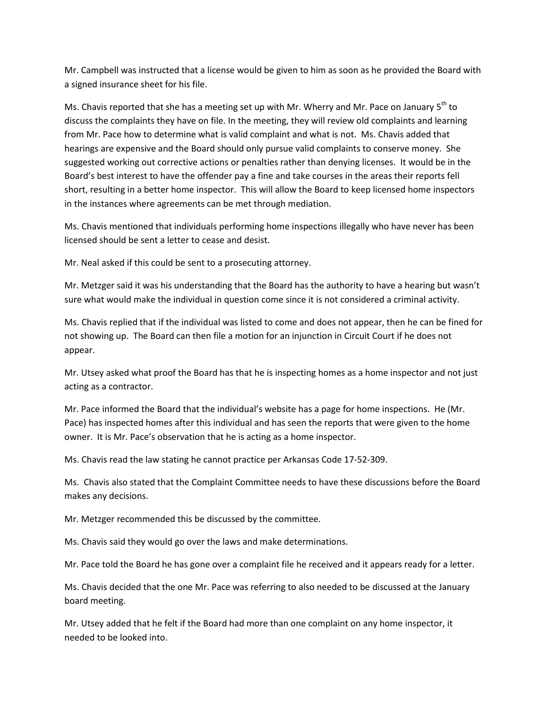Mr. Campbell was instructed that a license would be given to him as soon as he provided the Board with a signed insurance sheet for his file.

Ms. Chavis reported that she has a meeting set up with Mr. Wherry and Mr. Pace on January  $5<sup>th</sup>$  to discuss the complaints they have on file. In the meeting, they will review old complaints and learning from Mr. Pace how to determine what is valid complaint and what is not. Ms. Chavis added that hearings are expensive and the Board should only pursue valid complaints to conserve money. She suggested working out corrective actions or penalties rather than denying licenses. It would be in the Board's best interest to have the offender pay a fine and take courses in the areas their reports fell short, resulting in a better home inspector. This will allow the Board to keep licensed home inspectors in the instances where agreements can be met through mediation.

Ms. Chavis mentioned that individuals performing home inspections illegally who have never has been licensed should be sent a letter to cease and desist.

Mr. Neal asked if this could be sent to a prosecuting attorney.

Mr. Metzger said it was his understanding that the Board has the authority to have a hearing but wasn't sure what would make the individual in question come since it is not considered a criminal activity.

Ms. Chavis replied that if the individual was listed to come and does not appear, then he can be fined for not showing up. The Board can then file a motion for an injunction in Circuit Court if he does not appear.

Mr. Utsey asked what proof the Board has that he is inspecting homes as a home inspector and not just acting as a contractor.

Mr. Pace informed the Board that the individual's website has a page for home inspections. He (Mr. Pace) has inspected homes after this individual and has seen the reports that were given to the home owner. It is Mr. Pace's observation that he is acting as a home inspector.

Ms. Chavis read the law stating he cannot practice per Arkansas Code 17-52-309.

Ms. Chavis also stated that the Complaint Committee needs to have these discussions before the Board makes any decisions.

Mr. Metzger recommended this be discussed by the committee.

Ms. Chavis said they would go over the laws and make determinations.

Mr. Pace told the Board he has gone over a complaint file he received and it appears ready for a letter.

Ms. Chavis decided that the one Mr. Pace was referring to also needed to be discussed at the January board meeting.

Mr. Utsey added that he felt if the Board had more than one complaint on any home inspector, it needed to be looked into.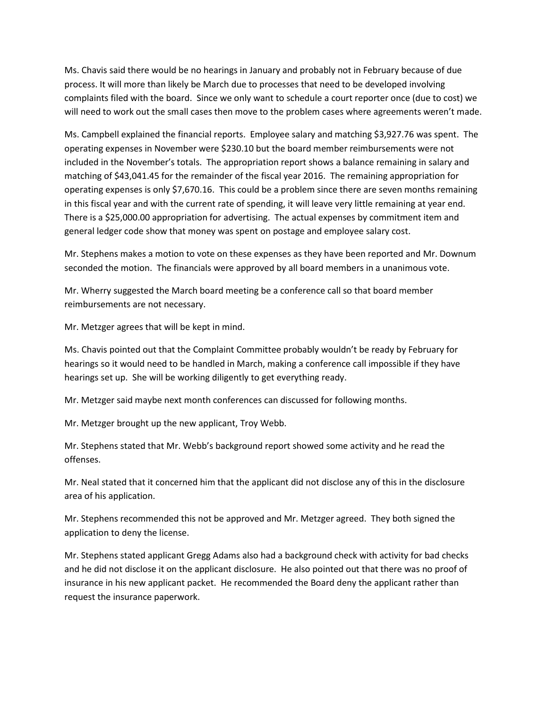Ms. Chavis said there would be no hearings in January and probably not in February because of due process. It will more than likely be March due to processes that need to be developed involving complaints filed with the board. Since we only want to schedule a court reporter once (due to cost) we will need to work out the small cases then move to the problem cases where agreements weren't made.

Ms. Campbell explained the financial reports. Employee salary and matching \$3,927.76 was spent. The operating expenses in November were \$230.10 but the board member reimbursements were not included in the November's totals. The appropriation report shows a balance remaining in salary and matching of \$43,041.45 for the remainder of the fiscal year 2016. The remaining appropriation for operating expenses is only \$7,670.16. This could be a problem since there are seven months remaining in this fiscal year and with the current rate of spending, it will leave very little remaining at year end. There is a \$25,000.00 appropriation for advertising. The actual expenses by commitment item and general ledger code show that money was spent on postage and employee salary cost.

Mr. Stephens makes a motion to vote on these expenses as they have been reported and Mr. Downum seconded the motion. The financials were approved by all board members in a unanimous vote.

Mr. Wherry suggested the March board meeting be a conference call so that board member reimbursements are not necessary.

Mr. Metzger agrees that will be kept in mind.

Ms. Chavis pointed out that the Complaint Committee probably wouldn't be ready by February for hearings so it would need to be handled in March, making a conference call impossible if they have hearings set up. She will be working diligently to get everything ready.

Mr. Metzger said maybe next month conferences can discussed for following months.

Mr. Metzger brought up the new applicant, Troy Webb.

Mr. Stephens stated that Mr. Webb's background report showed some activity and he read the offenses.

Mr. Neal stated that it concerned him that the applicant did not disclose any of this in the disclosure area of his application.

Mr. Stephens recommended this not be approved and Mr. Metzger agreed. They both signed the application to deny the license.

Mr. Stephens stated applicant Gregg Adams also had a background check with activity for bad checks and he did not disclose it on the applicant disclosure. He also pointed out that there was no proof of insurance in his new applicant packet. He recommended the Board deny the applicant rather than request the insurance paperwork.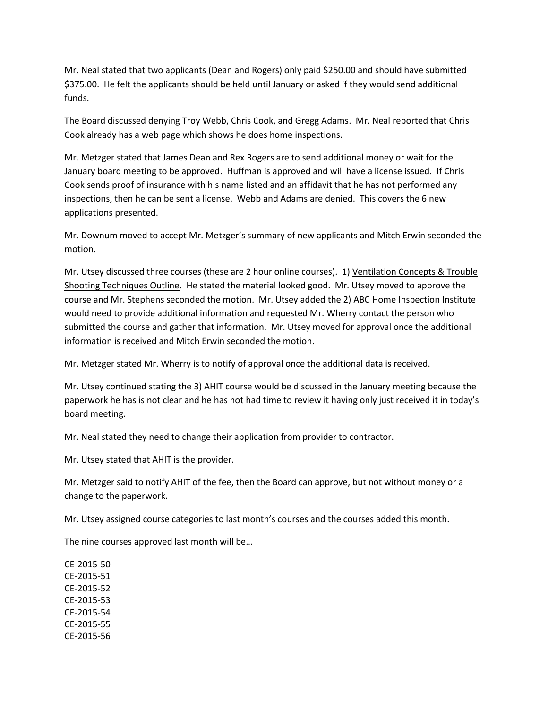Mr. Neal stated that two applicants (Dean and Rogers) only paid \$250.00 and should have submitted \$375.00. He felt the applicants should be held until January or asked if they would send additional funds.

The Board discussed denying Troy Webb, Chris Cook, and Gregg Adams. Mr. Neal reported that Chris Cook already has a web page which shows he does home inspections.

Mr. Metzger stated that James Dean and Rex Rogers are to send additional money or wait for the January board meeting to be approved. Huffman is approved and will have a license issued. If Chris Cook sends proof of insurance with his name listed and an affidavit that he has not performed any inspections, then he can be sent a license. Webb and Adams are denied. This covers the 6 new applications presented.

Mr. Downum moved to accept Mr. Metzger's summary of new applicants and Mitch Erwin seconded the motion.

Mr. Utsey discussed three courses (these are 2 hour online courses). 1) Ventilation Concepts & Trouble Shooting Techniques Outline. He stated the material looked good. Mr. Utsey moved to approve the course and Mr. Stephens seconded the motion. Mr. Utsey added the 2) ABC Home Inspection Institute would need to provide additional information and requested Mr. Wherry contact the person who submitted the course and gather that information. Mr. Utsey moved for approval once the additional information is received and Mitch Erwin seconded the motion.

Mr. Metzger stated Mr. Wherry is to notify of approval once the additional data is received.

Mr. Utsey continued stating the 3) AHIT course would be discussed in the January meeting because the paperwork he has is not clear and he has not had time to review it having only just received it in today's board meeting.

Mr. Neal stated they need to change their application from provider to contractor.

Mr. Utsey stated that AHIT is the provider.

Mr. Metzger said to notify AHIT of the fee, then the Board can approve, but not without money or a change to the paperwork.

Mr. Utsey assigned course categories to last month's courses and the courses added this month.

The nine courses approved last month will be…

CE-2015-50 CE-2015-51 CE-2015-52 CE-2015-53 CE-2015-54 CE-2015-55 CE-2015-56